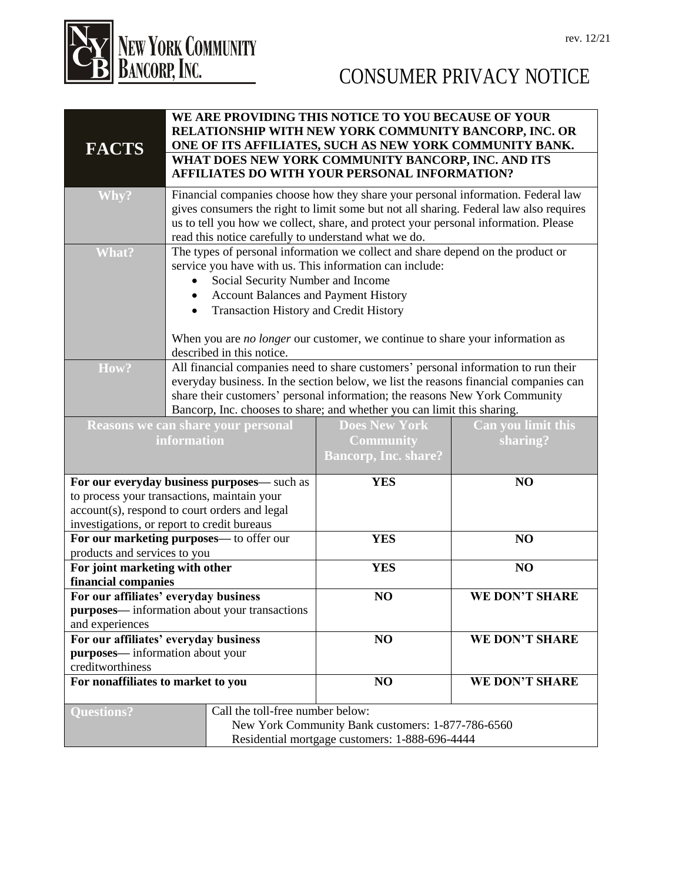

| <b>FACTS</b>                                                   |                                                                                                                                                                                                                                                                                                                           |                                   | WE ARE PROVIDING THIS NOTICE TO YOU BECAUSE OF YOUR<br>RELATIONSHIP WITH NEW YORK COMMUNITY BANCORP, INC. OR<br>ONE OF ITS AFFILIATES, SUCH AS NEW YORK COMMUNITY BANK. |                    |
|----------------------------------------------------------------|---------------------------------------------------------------------------------------------------------------------------------------------------------------------------------------------------------------------------------------------------------------------------------------------------------------------------|-----------------------------------|-------------------------------------------------------------------------------------------------------------------------------------------------------------------------|--------------------|
|                                                                |                                                                                                                                                                                                                                                                                                                           |                                   | WHAT DOES NEW YORK COMMUNITY BANCORP, INC. AND ITS<br>AFFILIATES DO WITH YOUR PERSONAL INFORMATION?                                                                     |                    |
| Why?                                                           | Financial companies choose how they share your personal information. Federal law<br>gives consumers the right to limit some but not all sharing. Federal law also requires<br>us to tell you how we collect, share, and protect your personal information. Please<br>read this notice carefully to understand what we do. |                                   |                                                                                                                                                                         |                    |
| What?                                                          | The types of personal information we collect and share depend on the product or<br>service you have with us. This information can include:                                                                                                                                                                                |                                   |                                                                                                                                                                         |                    |
|                                                                |                                                                                                                                                                                                                                                                                                                           | Social Security Number and Income |                                                                                                                                                                         |                    |
|                                                                | <b>Account Balances and Payment History</b><br>$\bullet$                                                                                                                                                                                                                                                                  |                                   |                                                                                                                                                                         |                    |
|                                                                | <b>Transaction History and Credit History</b><br>$\bullet$                                                                                                                                                                                                                                                                |                                   |                                                                                                                                                                         |                    |
|                                                                |                                                                                                                                                                                                                                                                                                                           |                                   |                                                                                                                                                                         |                    |
|                                                                | When you are no longer our customer, we continue to share your information as<br>described in this notice.                                                                                                                                                                                                                |                                   |                                                                                                                                                                         |                    |
| How?                                                           | All financial companies need to share customers' personal information to run their                                                                                                                                                                                                                                        |                                   |                                                                                                                                                                         |                    |
|                                                                | everyday business. In the section below, we list the reasons financial companies can                                                                                                                                                                                                                                      |                                   |                                                                                                                                                                         |                    |
|                                                                | share their customers' personal information; the reasons New York Community                                                                                                                                                                                                                                               |                                   |                                                                                                                                                                         |                    |
|                                                                | Bancorp, Inc. chooses to share; and whether you can limit this sharing.                                                                                                                                                                                                                                                   |                                   |                                                                                                                                                                         |                    |
| <b>Reasons we can share your personal</b>                      |                                                                                                                                                                                                                                                                                                                           |                                   | <b>Does New York</b>                                                                                                                                                    | Can you limit this |
| information                                                    |                                                                                                                                                                                                                                                                                                                           |                                   | <b>Community</b>                                                                                                                                                        | sharing?           |
|                                                                |                                                                                                                                                                                                                                                                                                                           |                                   | <b>Bancorp, Inc. share?</b>                                                                                                                                             |                    |
| For our everyday business purposes— such as                    |                                                                                                                                                                                                                                                                                                                           |                                   | <b>YES</b>                                                                                                                                                              | NO                 |
| to process your transactions, maintain your                    |                                                                                                                                                                                                                                                                                                                           |                                   |                                                                                                                                                                         |                    |
| account(s), respond to court orders and legal                  |                                                                                                                                                                                                                                                                                                                           |                                   |                                                                                                                                                                         |                    |
| investigations, or report to credit bureaus                    |                                                                                                                                                                                                                                                                                                                           |                                   |                                                                                                                                                                         |                    |
| For our marketing purposes— to offer our                       |                                                                                                                                                                                                                                                                                                                           |                                   | <b>YES</b>                                                                                                                                                              | NO                 |
| products and services to you<br>For joint marketing with other |                                                                                                                                                                                                                                                                                                                           |                                   | <b>YES</b>                                                                                                                                                              | NO                 |
| financial companies                                            |                                                                                                                                                                                                                                                                                                                           |                                   |                                                                                                                                                                         |                    |
| For our affiliates' everyday business                          |                                                                                                                                                                                                                                                                                                                           |                                   | NO                                                                                                                                                                      | WE DON'T SHARE     |
| purposes—information about your transactions                   |                                                                                                                                                                                                                                                                                                                           |                                   |                                                                                                                                                                         |                    |
| and experiences                                                |                                                                                                                                                                                                                                                                                                                           |                                   |                                                                                                                                                                         |                    |
| For our affiliates' everyday business                          |                                                                                                                                                                                                                                                                                                                           |                                   | NO                                                                                                                                                                      | WE DON'T SHARE     |
| purposes-information about your                                |                                                                                                                                                                                                                                                                                                                           |                                   |                                                                                                                                                                         |                    |
| creditworthiness                                               |                                                                                                                                                                                                                                                                                                                           |                                   |                                                                                                                                                                         |                    |
| For nonaffiliates to market to you                             |                                                                                                                                                                                                                                                                                                                           |                                   | NO                                                                                                                                                                      | WE DON'T SHARE     |
| <b>Questions?</b>                                              |                                                                                                                                                                                                                                                                                                                           | Call the toll-free number below:  |                                                                                                                                                                         |                    |
|                                                                |                                                                                                                                                                                                                                                                                                                           |                                   | New York Community Bank customers: 1-877-786-6560                                                                                                                       |                    |
|                                                                |                                                                                                                                                                                                                                                                                                                           |                                   | Residential mortgage customers: 1-888-696-4444                                                                                                                          |                    |